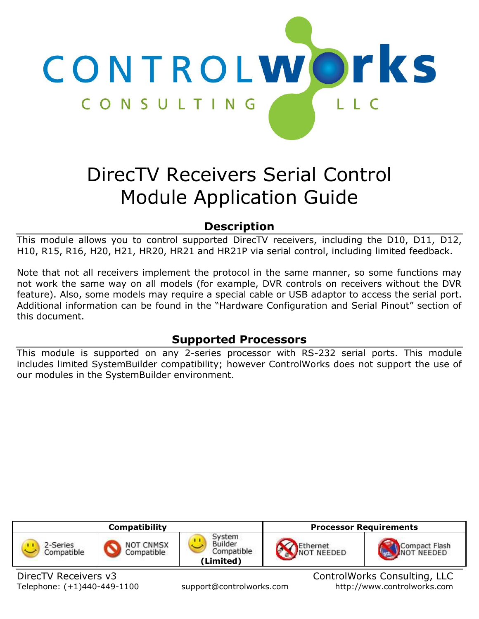

# DirecTV Receivers Serial Control Module Application Guide

# **Description**

This module allows you to control supported DirecTV receivers, including the D10, D11, D12, H10, R15, R16, H20, H21, HR20, HR21 and HR21P via serial control, including limited feedback.

Note that not all receivers implement the protocol in the same manner, so some functions may not work the same way on all models (for example, DVR controls on receivers without the DVR feature). Also, some models may require a special cable or USB adaptor to access the serial port. Additional information can be found in the "Hardware Configuration and Serial Pinout" section of this document.

# **Supported Processors**

This module is supported on any 2-series processor with RS-232 serial ports. This module includes limited SystemBuilder compatibility; however ControlWorks does not support the use of our modules in the SystemBuilder environment.

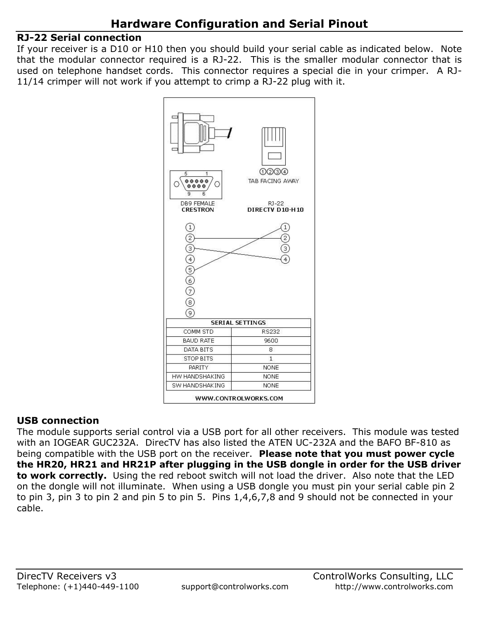## **RJ-22 Serial connection**

If your receiver is a D10 or H10 then you should build your serial cable as indicated below. Note that the modular connector required is a RJ-22. This is the smaller modular connector that is used on telephone handset cords. This connector requires a special die in your crimper. A RJ-11/14 crimper will not work if you attempt to crimp a RJ-22 plug with it.



## **USB connection**

The module supports serial control via a USB port for all other receivers. This module was tested with an IOGEAR GUC232A. DirecTV has also listed the ATEN UC-232A and the BAFO BF-810 as being compatible with the USB port on the receiver. **Please note that you must power cycle the HR20, HR21 and HR21P after plugging in the USB dongle in order for the USB driver to work correctly.** Using the red reboot switch will not load the driver.Also note that the LED on the dongle will not illuminate. When using a USB dongle you must pin your serial cable pin 2 to pin 3, pin 3 to pin 2 and pin 5 to pin 5. Pins 1,4,6,7,8 and 9 should not be connected in your cable.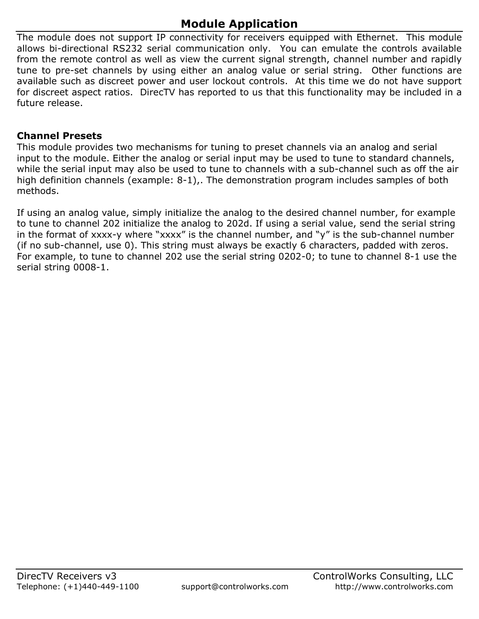# **Module Application**

The module does not support IP connectivity for receivers equipped with Ethernet. This module allows bi-directional RS232 serial communication only. You can emulate the controls available from the remote control as well as view the current signal strength, channel number and rapidly tune to pre-set channels by using either an analog value or serial string. Other functions are available such as discreet power and user lockout controls. At this time we do not have support for discreet aspect ratios. DirecTV has reported to us that this functionality may be included in a future release.

## **Channel Presets**

This module provides two mechanisms for tuning to preset channels via an analog and serial input to the module. Either the analog or serial input may be used to tune to standard channels, while the serial input may also be used to tune to channels with a sub-channel such as off the air high definition channels (example: 8-1),. The demonstration program includes samples of both methods.

If using an analog value, simply initialize the analog to the desired channel number, for example to tune to channel 202 initialize the analog to 202d. If using a serial value, send the serial string in the format of xxxx-y where "xxxx" is the channel number, and "y" is the sub-channel number (if no sub-channel, use 0). This string must always be exactly 6 characters, padded with zeros. For example, to tune to channel 202 use the serial string 0202-0; to tune to channel 8-1 use the serial string 0008-1.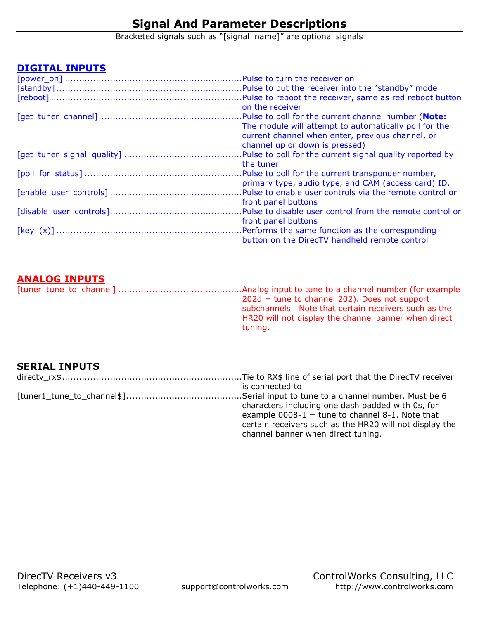# **Signal And Parameter Descriptions**

Bracketed signals such as "[signal\_name]" are optional signals

#### **DIGITAL INPUTS**

| on the receiver                                           |
|-----------------------------------------------------------|
| .Pulse to poll for the current channel number (Note:      |
| The module will attempt to automatically poll for the     |
| current channel when enter, previous channel, or          |
| channel up or down is pressed)                            |
| Pulse to poll for the current signal quality reported by  |
| the tuner                                                 |
| . Pulse to poll for the current transponder number,       |
| primary type, audio type, and CAM (access card) ID.       |
|                                                           |
| front panel buttons                                       |
| .Pulse to disable user control from the remote control or |
| front panel buttons                                       |
|                                                           |
| button on the DirecTV handheld remote control             |

## **ANALOG INPUTS**

| $202d$ = tune to channel 202). Does not support      |
|------------------------------------------------------|
| subchannels. Note that certain receivers such as the |
| HR20 will not display the channel banner when direct |
| tuning.                                              |

## **SERIAL INPUTS**

| is connected to                                         |
|---------------------------------------------------------|
|                                                         |
| characters including one dash padded with 0s, for       |
| example $0008-1$ = tune to channel 8-1. Note that       |
| certain receivers such as the HR20 will not display the |
| channel banner when direct tuning.                      |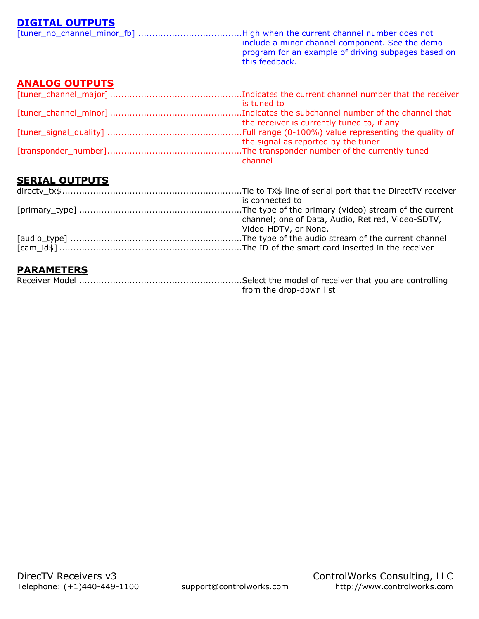## **DIGITAL OUTPUTS**

|                       | include a minor channel component. See the demo<br>program for an example of driving subpages based on<br>this feedback. |
|-----------------------|--------------------------------------------------------------------------------------------------------------------------|
| <b>ANALOG OUTPUTS</b> |                                                                                                                          |
|                       | is tuned to                                                                                                              |
|                       | the receiver is currently tuned to, if any                                                                               |

[tuner\_signal\_quality] ................................................Full range (0-100%) value representing the quality of the signal as reported by the tuner [transponder\_number]................................................The transponder number of the currently tuned channel

## **SERIAL OUTPUTS**

| is connected to                                   |
|---------------------------------------------------|
|                                                   |
| channel; one of Data, Audio, Retired, Video-SDTV, |
| Video-HDTV, or None.                              |
|                                                   |
|                                                   |
|                                                   |

## **PARAMETERS**

| from the drop-down list |
|-------------------------|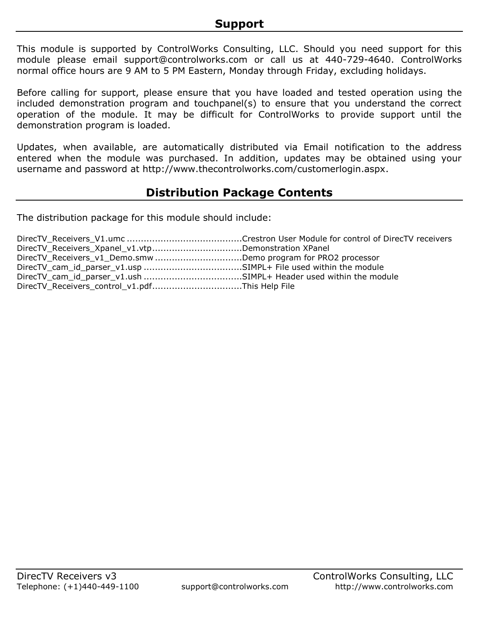This module is supported by ControlWorks Consulting, LLC. Should you need support for this module please email support@controlworks.com or call us at 440-729-4640. ControlWorks normal office hours are 9 AM to 5 PM Eastern, Monday through Friday, excluding holidays.

Before calling for support, please ensure that you have loaded and tested operation using the included demonstration program and touchpanel(s) to ensure that you understand the correct operation of the module. It may be difficult for ControlWorks to provide support until the demonstration program is loaded.

Updates, when available, are automatically distributed via Email notification to the address entered when the module was purchased. In addition, updates may be obtained using your username and password at http://www.thecontrolworks.com/customerlogin.aspx.

# **Distribution Package Contents**

The distribution package for this module should include:

| DirecTV_Receivers_Xpanel_v1.vtpDemonstration XPanel           |  |
|---------------------------------------------------------------|--|
| DirecTV_Receivers_v1_Demo.smw Demo program for PRO2 processor |  |
|                                                               |  |
|                                                               |  |
| DirecTV_Receivers_control_v1.pdfThis Help File                |  |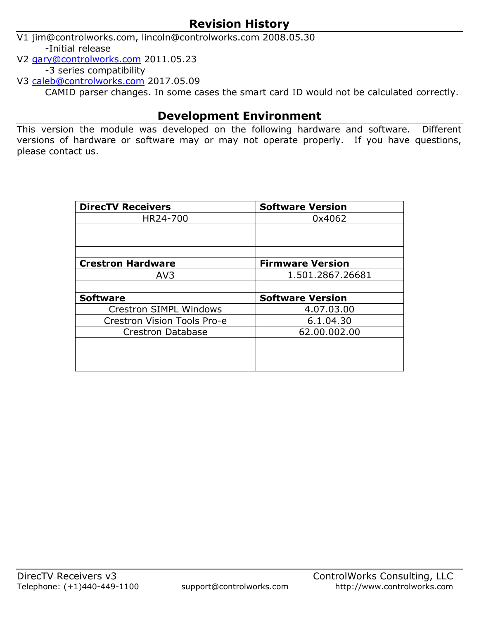# **Revision History**

V1 jim@controlworks.com, lincoln@controlworks.com 2008.05.30 -Initial release

V2 [gary@controlworks.com](mailto:gary@controlworks.com) 2011.05.23

-3 series compatibility

V3 [caleb@controlworks.com](mailto:caleb@controlworks.com) 2017.05.09

CAMID parser changes. In some cases the smart card ID would not be calculated correctly.

# **Development Environment**

This version the module was developed on the following hardware and software. Different versions of hardware or software may or may not operate properly. If you have questions, please contact us.

| <b>DirecTV Receivers</b>           | <b>Software Version</b> |
|------------------------------------|-------------------------|
| HR24-700                           | 0x4062                  |
|                                    |                         |
|                                    |                         |
|                                    |                         |
| <b>Crestron Hardware</b>           | <b>Firmware Version</b> |
| AV <sub>3</sub>                    | 1.501.2867.26681        |
|                                    |                         |
| <b>Software</b>                    | <b>Software Version</b> |
| <b>Crestron SIMPL Windows</b>      | 4.07.03.00              |
| <b>Crestron Vision Tools Pro-e</b> | 6.1.04.30               |
| <b>Crestron Database</b>           | 62.00.002.00            |
|                                    |                         |
|                                    |                         |
|                                    |                         |